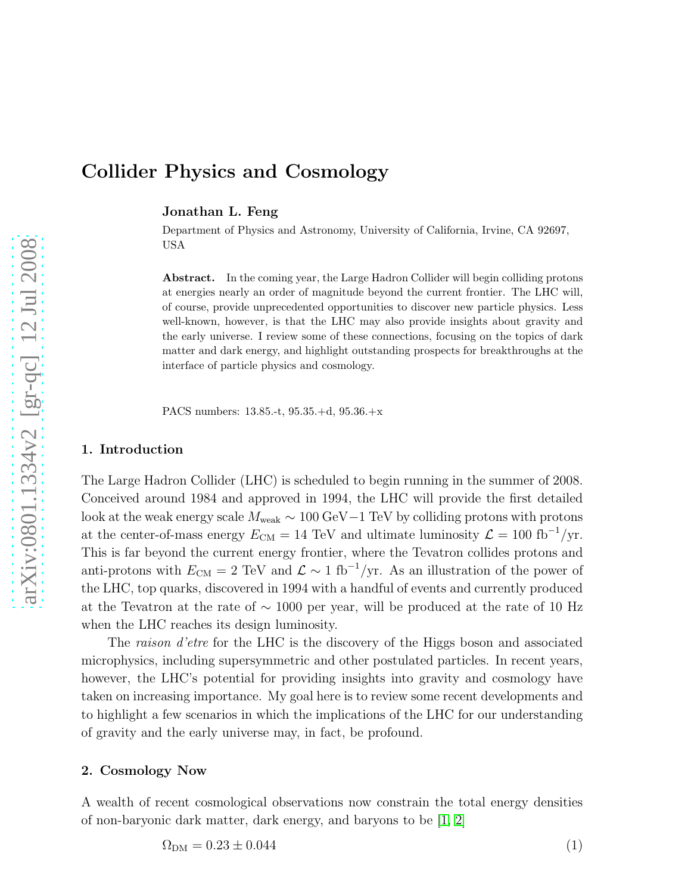# Collider Physics and Cosmology

Jonathan L. Feng

Department of Physics and Astronomy, University of California, Irvine, CA 92697, USA

Abstract. In the coming year, the Large Hadron Collider will begin colliding protons at energies nearly an order of magnitude beyond the current frontier. The LHC will, of course, provide unprecedented opportunities to discover new particle physics. Less well-known, however, is that the LHC may also provide insights about gravity and the early universe. I review some of these connections, focusing on the topics of dark matter and dark energy, and highlight outstanding prospects for breakthroughs at the interface of particle physics and cosmology.

PACS numbers: 13.85.-t, 95.35.+d, 95.36.+x

## 1. Introduction

The Large Hadron Collider (LHC) is scheduled to begin running in the summer of 2008. Conceived around 1984 and approved in 1994, the LHC will provide the first detailed look at the weak energy scale  $M_{weak} \sim 100 \text{ GeV} - 1 \text{ TeV}$  by colliding protons with protons at the center-of-mass energy  $E_{\text{CM}} = 14 \text{ TeV}$  and ultimate luminosity  $\mathcal{L} = 100 \text{ fb}^{-1}/\text{yr}$ . This is far beyond the current energy frontier, where the Tevatron collides protons and anti-protons with  $E_{CM} = 2 \text{ TeV}$  and  $\mathcal{L} \sim 1 \text{ fb}^{-1}/\text{yr}$ . As an illustration of the power of the LHC, top quarks, discovered in 1994 with a handful of events and currently produced at the Tevatron at the rate of ∼ 1000 per year, will be produced at the rate of 10 Hz when the LHC reaches its design luminosity.

The raison d'etre for the LHC is the discovery of the Higgs boson and associated microphysics, including supersymmetric and other postulated particles. In recent years, however, the LHC's potential for providing insights into gravity and cosmology have taken on increasing importance. My goal here is to review some recent developments and to highlight a few scenarios in which the implications of the LHC for our understanding of gravity and the early universe may, in fact, be profound.

#### 2. Cosmology Now

A wealth of recent cosmological observations now constrain the total energy densities of non-baryonic dark matter, dark energy, and baryons to be [\[1,](#page-12-0) [2\]](#page-12-1)

$$
\Omega_{\rm DM} = 0.23 \pm 0.044 \tag{1}
$$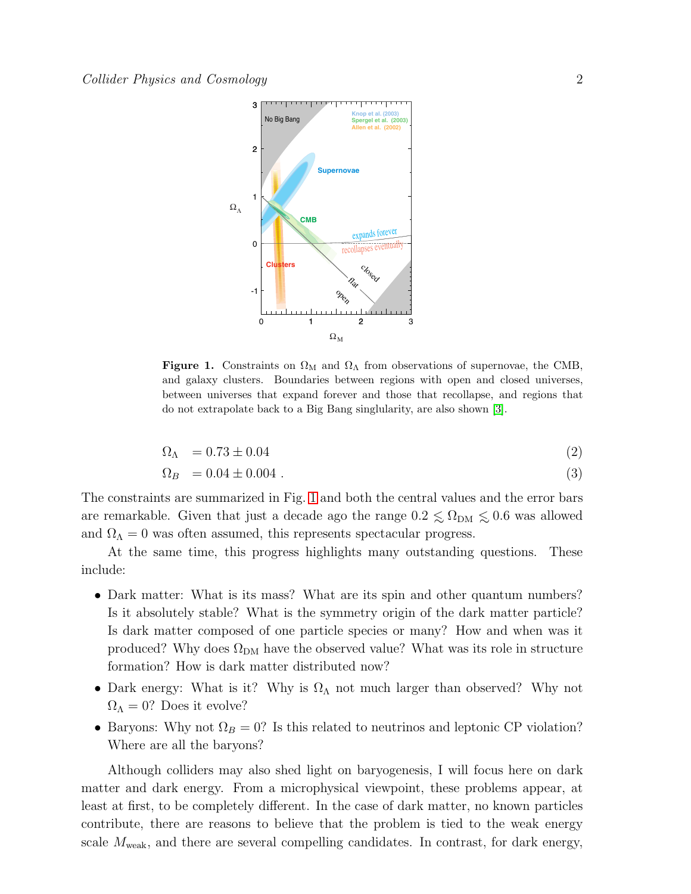

<span id="page-1-0"></span>Figure 1. Constraints on  $\Omega_M$  and  $\Omega_{\Lambda}$  from observations of supernovae, the CMB, and galaxy clusters. Boundaries between regions with open and closed universes, between universes that expand forever and those that recollapse, and regions that do not extrapolate back to a Big Bang singlularity, are also shown [\[3\]](#page-12-2).

$$
\Omega_{\Lambda} = 0.73 \pm 0.04 \tag{2}
$$

$$
\Omega_B = 0.04 \pm 0.004 \tag{3}
$$

The constraints are summarized in Fig. [1](#page-1-0) and both the central values and the error bars are remarkable. Given that just a decade ago the range  $0.2 \lesssim \Omega_{\rm DM} \lesssim 0.6$  was allowed and  $\Omega_{\Lambda} = 0$  was often assumed, this represents spectacular progress.

At the same time, this progress highlights many outstanding questions. These include:

- Dark matter: What is its mass? What are its spin and other quantum numbers? Is it absolutely stable? What is the symmetry origin of the dark matter particle? Is dark matter composed of one particle species or many? How and when was it produced? Why does  $\Omega_{DM}$  have the observed value? What was its role in structure formation? How is dark matter distributed now?
- Dark energy: What is it? Why is  $\Omega_{\Lambda}$  not much larger than observed? Why not  $\Omega_{\Lambda} = 0$ ? Does it evolve?
- Baryons: Why not  $\Omega_B = 0$ ? Is this related to neutrinos and leptonic CP violation? Where are all the baryons?

Although colliders may also shed light on baryogenesis, I will focus here on dark matter and dark energy. From a microphysical viewpoint, these problems appear, at least at first, to be completely different. In the case of dark matter, no known particles contribute, there are reasons to believe that the problem is tied to the weak energy scale  $M_{\text{weak}}$ , and there are several compelling candidates. In contrast, for dark energy,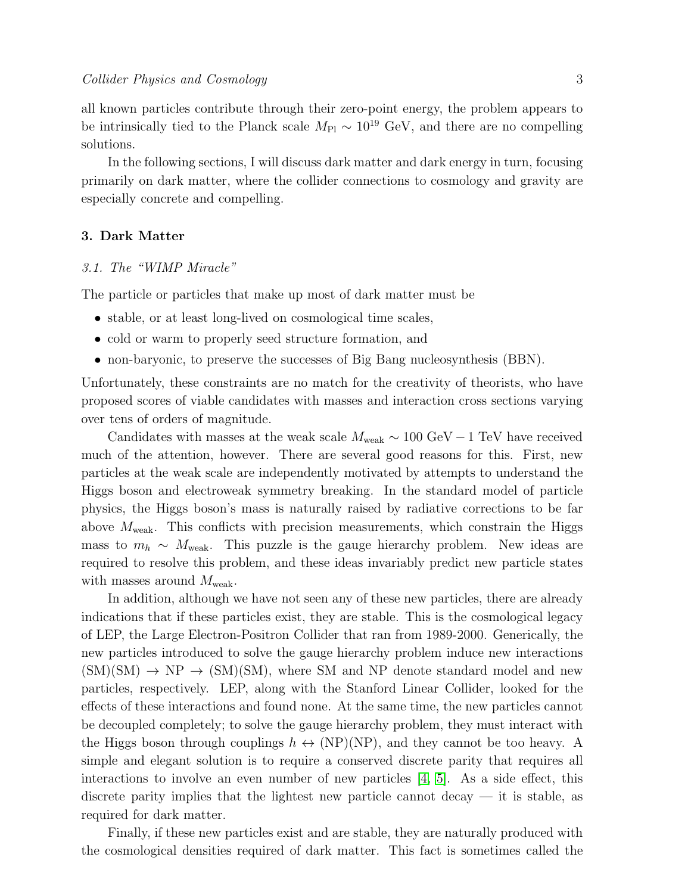all known particles contribute through their zero-point energy, the problem appears to be intrinsically tied to the Planck scale  $M_{\text{Pl}} \sim 10^{19} \text{ GeV}$ , and there are no compelling solutions.

In the following sections, I will discuss dark matter and dark energy in turn, focusing primarily on dark matter, where the collider connections to cosmology and gravity are especially concrete and compelling.

## <span id="page-2-0"></span>3. Dark Matter

## 3.1. The "WIMP Miracle"

The particle or particles that make up most of dark matter must be

- stable, or at least long-lived on cosmological time scales,
- cold or warm to properly seed structure formation, and
- non-baryonic, to preserve the successes of Big Bang nucleosynthesis (BBN).

Unfortunately, these constraints are no match for the creativity of theorists, who have proposed scores of viable candidates with masses and interaction cross sections varying over tens of orders of magnitude.

Candidates with masses at the weak scale  $M_{\text{weak}} \sim 100 \text{ GeV} - 1 \text{ TeV}$  have received much of the attention, however. There are several good reasons for this. First, new particles at the weak scale are independently motivated by attempts to understand the Higgs boson and electroweak symmetry breaking. In the standard model of particle physics, the Higgs boson's mass is naturally raised by radiative corrections to be far above  $M_{weak}$ . This conflicts with precision measurements, which constrain the Higgs mass to  $m_h \sim M_{\text{weak}}$ . This puzzle is the gauge hierarchy problem. New ideas are required to resolve this problem, and these ideas invariably predict new particle states with masses around  $M_{\text{weak}}$ .

In addition, although we have not seen any of these new particles, there are already indications that if these particles exist, they are stable. This is the cosmological legacy of LEP, the Large Electron-Positron Collider that ran from 1989-2000. Generically, the new particles introduced to solve the gauge hierarchy problem induce new interactions  $(SM)(SM) \rightarrow NP \rightarrow (SM)(SM)$ , where SM and NP denote standard model and new particles, respectively. LEP, along with the Stanford Linear Collider, looked for the effects of these interactions and found none. At the same time, the new particles cannot be decoupled completely; to solve the gauge hierarchy problem, they must interact with the Higgs boson through couplings  $h \leftrightarrow (NP)(NP)$ , and they cannot be too heavy. A simple and elegant solution is to require a conserved discrete parity that requires all interactions to involve an even number of new particles [\[4,](#page-12-3) [5\]](#page-12-4). As a side effect, this discrete parity implies that the lightest new particle cannot decay  $-$  it is stable, as required for dark matter.

Finally, if these new particles exist and are stable, they are naturally produced with the cosmological densities required of dark matter. This fact is sometimes called the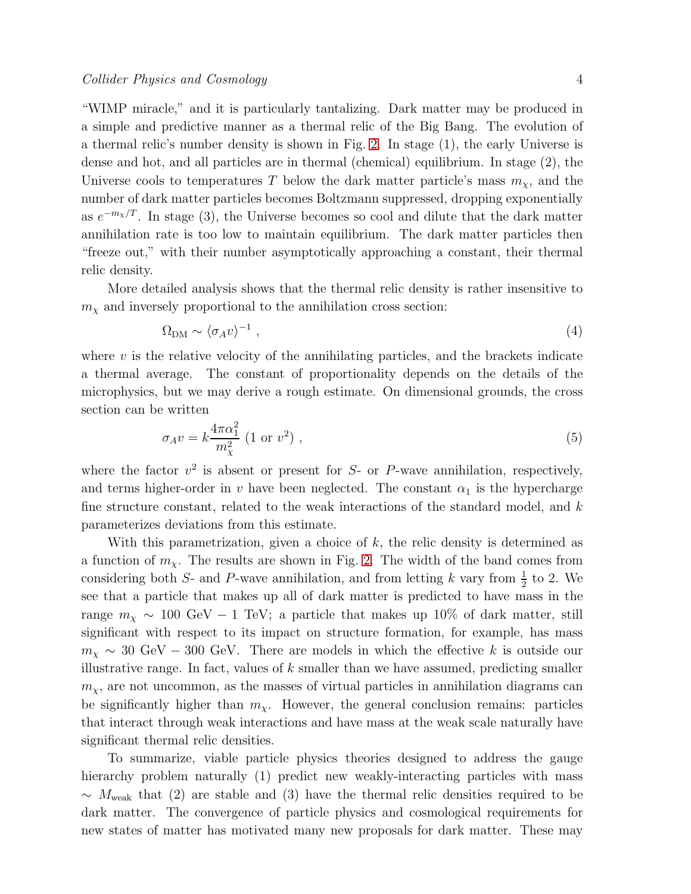"WIMP miracle," and it is particularly tantalizing. Dark matter may be produced in a simple and predictive manner as a thermal relic of the Big Bang. The evolution of a thermal relic's number density is shown in Fig. [2.](#page-4-0) In stage (1), the early Universe is dense and hot, and all particles are in thermal (chemical) equilibrium. In stage (2), the Universe cools to temperatures T below the dark matter particle's mass  $m<sub>x</sub>$ , and the number of dark matter particles becomes Boltzmann suppressed, dropping exponentially as  $e^{-m_X/T}$ . In stage (3), the Universe becomes so cool and dilute that the dark matter annihilation rate is too low to maintain equilibrium. The dark matter particles then "freeze out," with their number asymptotically approaching a constant, their thermal relic density.

More detailed analysis shows that the thermal relic density is rather insensitive to  $m<sub>x</sub>$  and inversely proportional to the annihilation cross section:

<span id="page-3-0"></span>
$$
\Omega_{\rm DM} \sim \langle \sigma_A v \rangle^{-1} \,, \tag{4}
$$

where  $v$  is the relative velocity of the annihilating particles, and the brackets indicate a thermal average. The constant of proportionality depends on the details of the microphysics, but we may derive a rough estimate. On dimensional grounds, the cross section can be written

$$
\sigma_A v = k \frac{4\pi\alpha_1^2}{m_\chi^2} \ (1 \text{ or } v^2) \ , \tag{5}
$$

where the factor  $v^2$  is absent or present for S- or P-wave annihilation, respectively, and terms higher-order in v have been neglected. The constant  $\alpha_1$  is the hypercharge fine structure constant, related to the weak interactions of the standard model, and k parameterizes deviations from this estimate.

With this parametrization, given a choice of  $k$ , the relic density is determined as a function of  $m_{\chi}$ . The results are shown in Fig. [2.](#page-4-0) The width of the band comes from considering both S- and P-wave annihilation, and from letting k vary from  $\frac{1}{2}$  to 2. We see that a particle that makes up all of dark matter is predicted to have mass in the range  $m_{\chi} \sim 100 \text{ GeV} - 1 \text{ TeV}$ ; a particle that makes up 10% of dark matter, still significant with respect to its impact on structure formation, for example, has mass  $m_{\chi} \sim 30 \text{ GeV} - 300 \text{ GeV}$ . There are models in which the effective k is outside our illustrative range. In fact, values of  $k$  smaller than we have assumed, predicting smaller  $m<sub>X</sub>$ , are not uncommon, as the masses of virtual particles in annihilation diagrams can be significantly higher than  $m<sub>\chi</sub>$ . However, the general conclusion remains: particles that interact through weak interactions and have mass at the weak scale naturally have significant thermal relic densities.

To summarize, viable particle physics theories designed to address the gauge hierarchy problem naturally (1) predict new weakly-interacting particles with mass  $\sim M_{\text{weak}}$  that (2) are stable and (3) have the thermal relic densities required to be dark matter. The convergence of particle physics and cosmological requirements for new states of matter has motivated many new proposals for dark matter. These may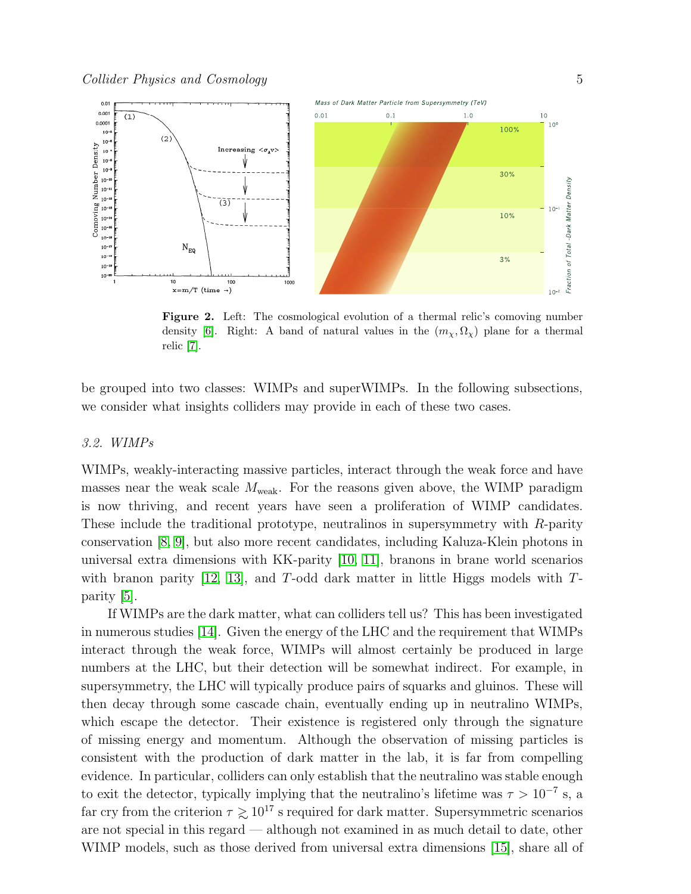

<span id="page-4-0"></span>Figure 2. Left: The cosmological evolution of a thermal relic's comoving number density [\[6\]](#page-12-5). Right: A band of natural values in the  $(m_\chi, \Omega_\chi)$  plane for a thermal relic [\[7\]](#page-12-6).

be grouped into two classes: WIMPs and superWIMPs. In the following subsections, we consider what insights colliders may provide in each of these two cases.

### <span id="page-4-1"></span>3.2. WIMPs

WIMPs, weakly-interacting massive particles, interact through the weak force and have masses near the weak scale  $M_{\text{weak}}$ . For the reasons given above, the WIMP paradigm is now thriving, and recent years have seen a proliferation of WIMP candidates. These include the traditional prototype, neutralinos in supersymmetry with R-parity conservation [\[8,](#page-12-7) [9\]](#page-12-8), but also more recent candidates, including Kaluza-Klein photons in universal extra dimensions with KK-parity [\[10,](#page-12-9) [11\]](#page-12-10), branons in brane world scenarios with branon parity  $[12, 13]$  $[12, 13]$ , and T-odd dark matter in little Higgs models with Tparity [\[5\]](#page-12-4).

If WIMPs are the dark matter, what can colliders tell us? This has been investigated in numerous studies [\[14\]](#page-12-13). Given the energy of the LHC and the requirement that WIMPs interact through the weak force, WIMPs will almost certainly be produced in large numbers at the LHC, but their detection will be somewhat indirect. For example, in supersymmetry, the LHC will typically produce pairs of squarks and gluinos. These will then decay through some cascade chain, eventually ending up in neutralino WIMPs, which escape the detector. Their existence is registered only through the signature of missing energy and momentum. Although the observation of missing particles is consistent with the production of dark matter in the lab, it is far from compelling evidence. In particular, colliders can only establish that the neutralino was stable enough to exit the detector, typically implying that the neutralino's lifetime was  $\tau > 10^{-7}$  s, a far cry from the criterion  $\tau \gtrsim 10^{17}$  s required for dark matter. Supersymmetric scenarios are not special in this regard — although not examined in as much detail to date, other WIMP models, such as those derived from universal extra dimensions [\[15\]](#page-12-14), share all of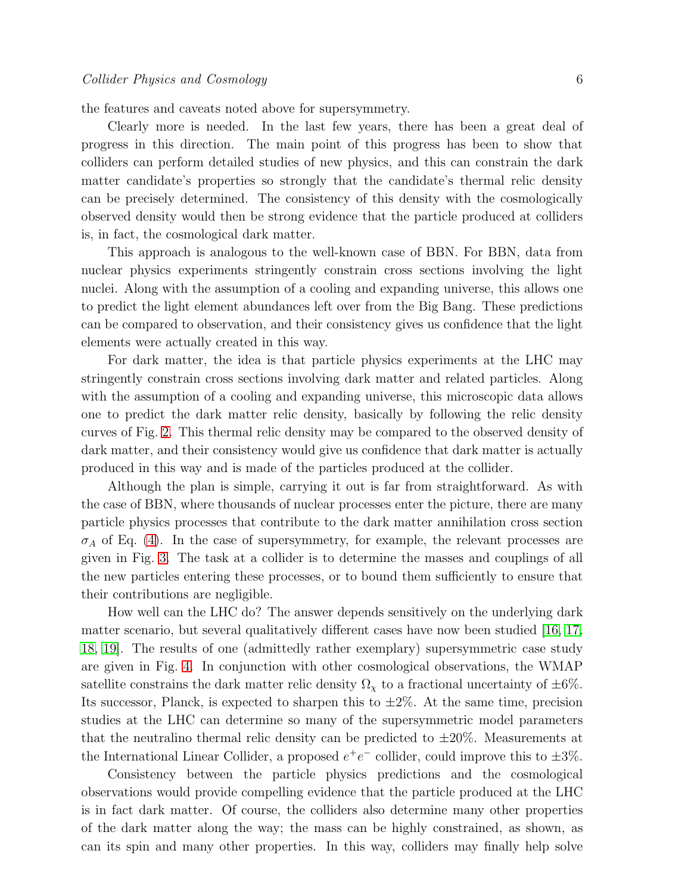the features and caveats noted above for supersymmetry.

Clearly more is needed. In the last few years, there has been a great deal of progress in this direction. The main point of this progress has been to show that colliders can perform detailed studies of new physics, and this can constrain the dark matter candidate's properties so strongly that the candidate's thermal relic density can be precisely determined. The consistency of this density with the cosmologically observed density would then be strong evidence that the particle produced at colliders is, in fact, the cosmological dark matter.

This approach is analogous to the well-known case of BBN. For BBN, data from nuclear physics experiments stringently constrain cross sections involving the light nuclei. Along with the assumption of a cooling and expanding universe, this allows one to predict the light element abundances left over from the Big Bang. These predictions can be compared to observation, and their consistency gives us confidence that the light elements were actually created in this way.

For dark matter, the idea is that particle physics experiments at the LHC may stringently constrain cross sections involving dark matter and related particles. Along with the assumption of a cooling and expanding universe, this microscopic data allows one to predict the dark matter relic density, basically by following the relic density curves of Fig. [2.](#page-4-0) This thermal relic density may be compared to the observed density of dark matter, and their consistency would give us confidence that dark matter is actually produced in this way and is made of the particles produced at the collider.

Although the plan is simple, carrying it out is far from straightforward. As with the case of BBN, where thousands of nuclear processes enter the picture, there are many particle physics processes that contribute to the dark matter annihilation cross section  $\sigma_A$  of Eq. [\(4\)](#page-3-0). In the case of supersymmetry, for example, the relevant processes are given in Fig. [3.](#page-6-0) The task at a collider is to determine the masses and couplings of all the new particles entering these processes, or to bound them sufficiently to ensure that their contributions are negligible.

How well can the LHC do? The answer depends sensitively on the underlying dark matter scenario, but several qualitatively different cases have now been studied  $[16, 17]$ , [18,](#page-13-2) [19\]](#page-13-3). The results of one (admittedly rather exemplary) supersymmetric case study are given in Fig. [4.](#page-6-1) In conjunction with other cosmological observations, the WMAP satellite constrains the dark matter relic density  $\Omega_{\chi}$  to a fractional uncertainty of  $\pm 6\%$ . Its successor, Planck, is expected to sharpen this to  $\pm 2\%$ . At the same time, precision studies at the LHC can determine so many of the supersymmetric model parameters that the neutralino thermal relic density can be predicted to  $\pm 20\%$ . Measurements at the International Linear Collider, a proposed  $e^+e^-$  collider, could improve this to  $\pm 3\%$ .

Consistency between the particle physics predictions and the cosmological observations would provide compelling evidence that the particle produced at the LHC is in fact dark matter. Of course, the colliders also determine many other properties of the dark matter along the way; the mass can be highly constrained, as shown, as can its spin and many other properties. In this way, colliders may finally help solve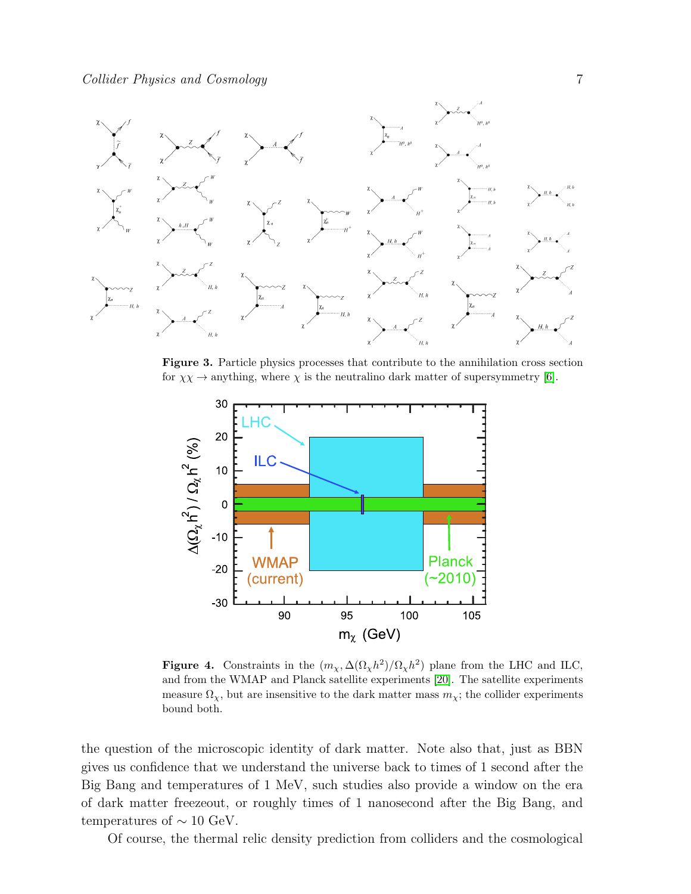

<span id="page-6-0"></span>Figure 3. Particle physics processes that contribute to the annihilation cross section for  $\chi\chi \to \text{anything},$  where  $\chi$  is the neutralino dark matter of supersymmetry [\[6\]](#page-12-5).



<span id="page-6-1"></span>**Figure 4.** Constraints in the  $(m_\chi, \Delta(\Omega_\chi h^2)/\Omega_\chi h^2)$  plane from the LHC and ILC, and from the WMAP and Planck satellite experiments [\[20\]](#page-13-4). The satellite experiments measure  $\Omega_{\chi}$ , but are insensitive to the dark matter mass  $m_{\chi}$ ; the collider experiments bound both.

the question of the microscopic identity of dark matter. Note also that, just as BBN gives us confidence that we understand the universe back to times of 1 second after the Big Bang and temperatures of 1 MeV, such studies also provide a window on the era of dark matter freezeout, or roughly times of 1 nanosecond after the Big Bang, and temperatures of  $\sim 10$  GeV.

Of course, the thermal relic density prediction from colliders and the cosmological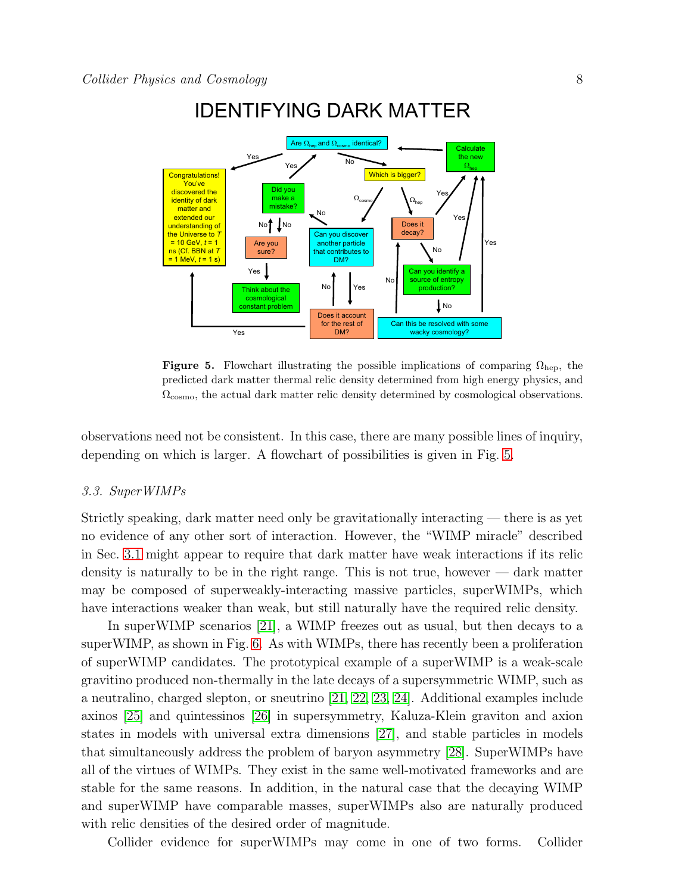

# IDENTIFYING DARK MATTER

<span id="page-7-0"></span>Figure 5. Flowchart illustrating the possible implications of comparing  $\Omega_{\text{hep}}$ , the predicted dark matter thermal relic density determined from high energy physics, and  $\Omega_{\text{cosmo}}$ , the actual dark matter relic density determined by cosmological observations.

observations need not be consistent. In this case, there are many possible lines of inquiry, depending on which is larger. A flowchart of possibilities is given in Fig. [5.](#page-7-0)

#### 3.3. SuperWIMPs

Strictly speaking, dark matter need only be gravitationally interacting — there is as yet no evidence of any other sort of interaction. However, the "WIMP miracle" described in Sec. [3.1](#page-2-0) might appear to require that dark matter have weak interactions if its relic density is naturally to be in the right range. This is not true, however — dark matter may be composed of superweakly-interacting massive particles, superWIMPs, which have interactions weaker than weak, but still naturally have the required relic density.

In superWIMP scenarios [\[21\]](#page-13-5), a WIMP freezes out as usual, but then decays to a superWIMP, as shown in Fig. [6.](#page-8-0) As with WIMPs, there has recently been a proliferation of superWIMP candidates. The prototypical example of a superWIMP is a weak-scale gravitino produced non-thermally in the late decays of a supersymmetric WIMP, such as a neutralino, charged slepton, or sneutrino [\[21,](#page-13-5) [22,](#page-13-6) [23,](#page-13-7) [24\]](#page-13-8). Additional examples include axinos [\[25\]](#page-13-9) and quintessinos [\[26\]](#page-13-10) in supersymmetry, Kaluza-Klein graviton and axion states in models with universal extra dimensions [\[27\]](#page-13-11), and stable particles in models that simultaneously address the problem of baryon asymmetry [\[28\]](#page-13-12). SuperWIMPs have all of the virtues of WIMPs. They exist in the same well-motivated frameworks and are stable for the same reasons. In addition, in the natural case that the decaying WIMP and superWIMP have comparable masses, superWIMPs also are naturally produced with relic densities of the desired order of magnitude.

Collider evidence for superWIMPs may come in one of two forms. Collider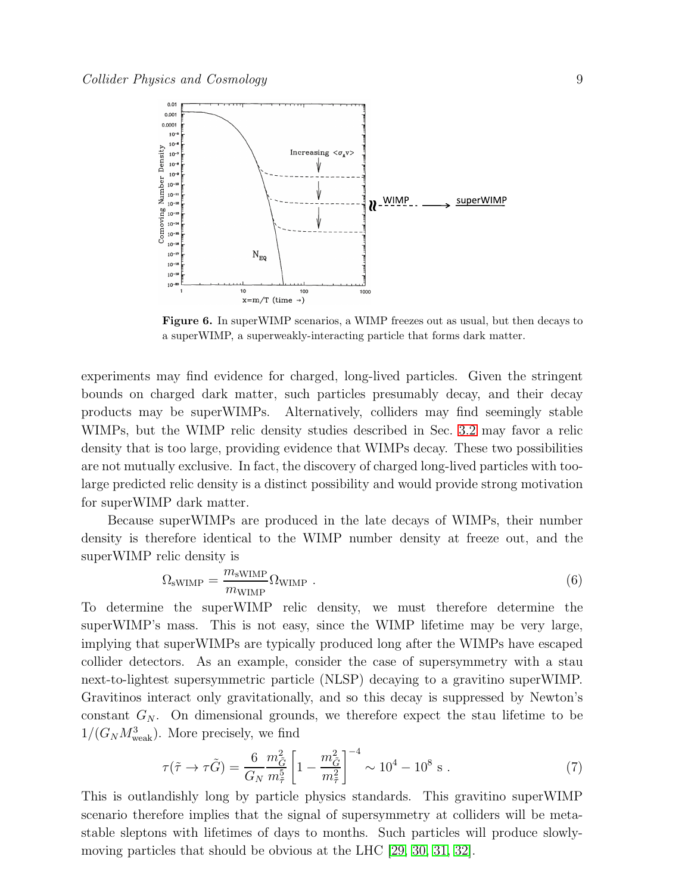

<span id="page-8-0"></span>Figure 6. In superWIMP scenarios, a WIMP freezes out as usual, but then decays to a superWIMP, a superweakly-interacting particle that forms dark matter.

experiments may find evidence for charged, long-lived particles. Given the stringent bounds on charged dark matter, such particles presumably decay, and their decay products may be superWIMPs. Alternatively, colliders may find seemingly stable WIMPs, but the WIMP relic density studies described in Sec. [3.2](#page-4-1) may favor a relic density that is too large, providing evidence that WIMPs decay. These two possibilities are not mutually exclusive. In fact, the discovery of charged long-lived particles with toolarge predicted relic density is a distinct possibility and would provide strong motivation for superWIMP dark matter.

Because superWIMPs are produced in the late decays of WIMPs, their number density is therefore identical to the WIMP number density at freeze out, and the superWIMP relic density is

<span id="page-8-1"></span>
$$
\Omega_{\text{swIMP}} = \frac{m_{\text{swIMP}}}{m_{\text{wIMP}}} \Omega_{\text{WIMP}} \tag{6}
$$

To determine the superWIMP relic density, we must therefore determine the superWIMP's mass. This is not easy, since the WIMP lifetime may be very large, implying that superWIMPs are typically produced long after the WIMPs have escaped collider detectors. As an example, consider the case of supersymmetry with a stau next-to-lightest supersymmetric particle (NLSP) decaying to a gravitino superWIMP. Gravitinos interact only gravitationally, and so this decay is suppressed by Newton's constant  $G_N$ . On dimensional grounds, we therefore expect the stau lifetime to be  $1/(G_N M_{\text{weak}}^3)$ . More precisely, we find

<span id="page-8-2"></span>
$$
\tau(\tilde{\tau} \to \tau \tilde{G}) = \frac{6}{G_N} \frac{m_{\tilde{G}}^2}{m_{\tilde{\tau}}^5} \left[ 1 - \frac{m_{\tilde{G}}^2}{m_{\tilde{\tau}}^2} \right]^{-4} \sim 10^4 - 10^8 \text{ s} \ . \tag{7}
$$

This is outlandishly long by particle physics standards. This gravitino superWIMP scenario therefore implies that the signal of supersymmetry at colliders will be metastable sleptons with lifetimes of days to months. Such particles will produce slowlymoving particles that should be obvious at the LHC [\[29,](#page-13-13) [30,](#page-13-14) [31,](#page-13-15) [32\]](#page-13-16).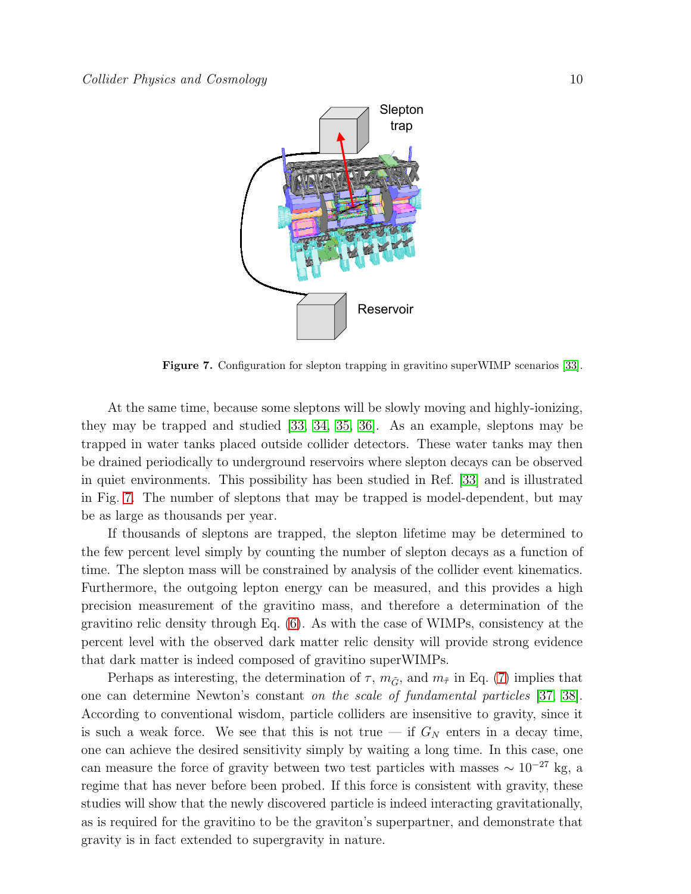

<span id="page-9-0"></span>Figure 7. Configuration for slepton trapping in gravitino superWIMP scenarios [\[33\]](#page-13-17).

At the same time, because some sleptons will be slowly moving and highly-ionizing, they may be trapped and studied [\[33,](#page-13-17) [34,](#page-13-18) [35,](#page-13-19) [36\]](#page-13-20). As an example, sleptons may be trapped in water tanks placed outside collider detectors. These water tanks may then be drained periodically to underground reservoirs where slepton decays can be observed in quiet environments. This possibility has been studied in Ref. [\[33\]](#page-13-17) and is illustrated in Fig. [7.](#page-9-0) The number of sleptons that may be trapped is model-dependent, but may be as large as thousands per year.

If thousands of sleptons are trapped, the slepton lifetime may be determined to the few percent level simply by counting the number of slepton decays as a function of time. The slepton mass will be constrained by analysis of the collider event kinematics. Furthermore, the outgoing lepton energy can be measured, and this provides a high precision measurement of the gravitino mass, and therefore a determination of the gravitino relic density through Eq. [\(6\)](#page-8-1). As with the case of WIMPs, consistency at the percent level with the observed dark matter relic density will provide strong evidence that dark matter is indeed composed of gravitino superWIMPs.

Perhaps as interesting, the determination of  $\tau$ ,  $m_{\tilde{G}}$ , and  $m_{\tilde{\tau}}$  in Eq. [\(7\)](#page-8-2) implies that one can determine Newton's constant on the scale of fundamental particles [\[37,](#page-13-21) [38\]](#page-13-22). According to conventional wisdom, particle colliders are insensitive to gravity, since it is such a weak force. We see that this is not true — if  $G_N$  enters in a decay time, one can achieve the desired sensitivity simply by waiting a long time. In this case, one can measure the force of gravity between two test particles with masses  $\sim 10^{-27}$  kg, a regime that has never before been probed. If this force is consistent with gravity, these studies will show that the newly discovered particle is indeed interacting gravitationally, as is required for the gravitino to be the graviton's superpartner, and demonstrate that gravity is in fact extended to supergravity in nature.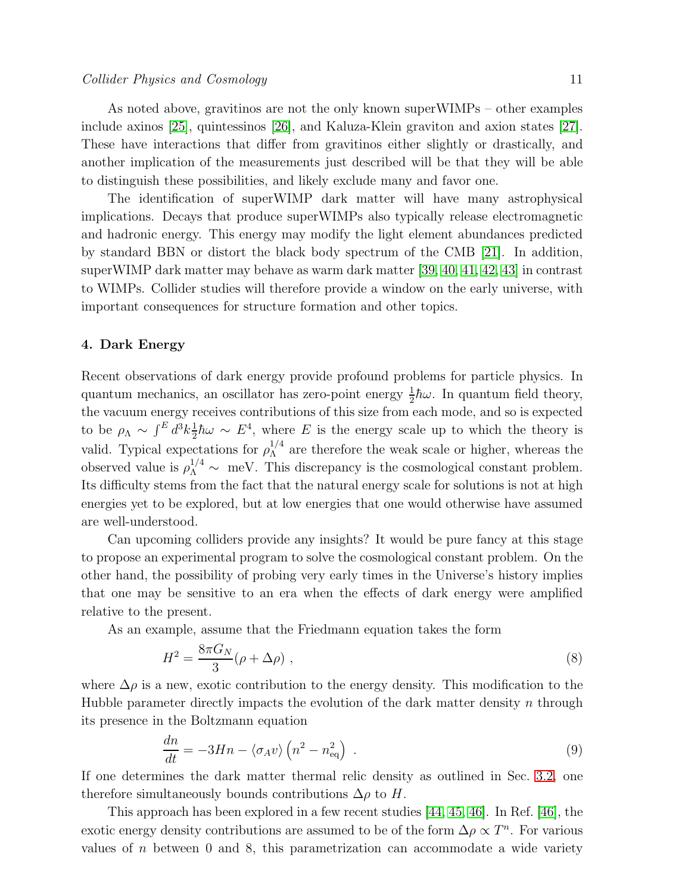As noted above, gravitinos are not the only known superWIMPs – other examples include axinos [\[25\]](#page-13-9), quintessinos [\[26\]](#page-13-10), and Kaluza-Klein graviton and axion states [\[27\]](#page-13-11). These have interactions that differ from gravitinos either slightly or drastically, and another implication of the measurements just described will be that they will be able to distinguish these possibilities, and likely exclude many and favor one.

The identification of superWIMP dark matter will have many astrophysical implications. Decays that produce superWIMPs also typically release electromagnetic and hadronic energy. This energy may modify the light element abundances predicted by standard BBN or distort the black body spectrum of the CMB [\[21\]](#page-13-5). In addition, superWIMP dark matter may behave as warm dark matter [\[39,](#page-13-23) [40,](#page-13-24) [41,](#page-13-25) [42,](#page-13-26) [43\]](#page-13-27) in contrast to WIMPs. Collider studies will therefore provide a window on the early universe, with important consequences for structure formation and other topics.

## 4. Dark Energy

Recent observations of dark energy provide profound problems for particle physics. In quantum mechanics, an oscillator has zero-point energy  $\frac{1}{2}\hbar\omega$ . In quantum field theory, the vacuum energy receives contributions of this size from each mode, and so is expected to be  $\rho_{\Lambda} \sim \int^{E} d^3k \frac{1}{2}$  $\frac{1}{2}\hbar\omega \sim E^4$ , where E is the energy scale up to which the theory is valid. Typical expectations for  $\rho_{\Lambda}^{1/4}$  are therefore the weak scale or higher, whereas the observed value is  $\rho_{\Lambda}^{1/4} \sim$  meV. This discrepancy is the cosmological constant problem. Its difficulty stems from the fact that the natural energy scale for solutions is not at high energies yet to be explored, but at low energies that one would otherwise have assumed are well-understood.

Can upcoming colliders provide any insights? It would be pure fancy at this stage to propose an experimental program to solve the cosmological constant problem. On the other hand, the possibility of probing very early times in the Universe's history implies that one may be sensitive to an era when the effects of dark energy were amplified relative to the present.

As an example, assume that the Friedmann equation takes the form

$$
H^2 = \frac{8\pi G_N}{3} (\rho + \Delta \rho) , \qquad (8)
$$

where  $\Delta \rho$  is a new, exotic contribution to the energy density. This modification to the Hubble parameter directly impacts the evolution of the dark matter density n through its presence in the Boltzmann equation

$$
\frac{dn}{dt} = -3Hn - \langle \sigma_A v \rangle \left( n^2 - n_{\text{eq}}^2 \right) \,. \tag{9}
$$

If one determines the dark matter thermal relic density as outlined in Sec. [3.2,](#page-4-1) one therefore simultaneously bounds contributions  $\Delta \rho$  to H.

This approach has been explored in a few recent studies [\[44,](#page-13-28) [45,](#page-13-29) [46\]](#page-13-30). In Ref. [\[46\]](#page-13-30), the exotic energy density contributions are assumed to be of the form  $\Delta \rho \propto T^n$ . For various values of  $n$  between 0 and 8, this parametrization can accommodate a wide variety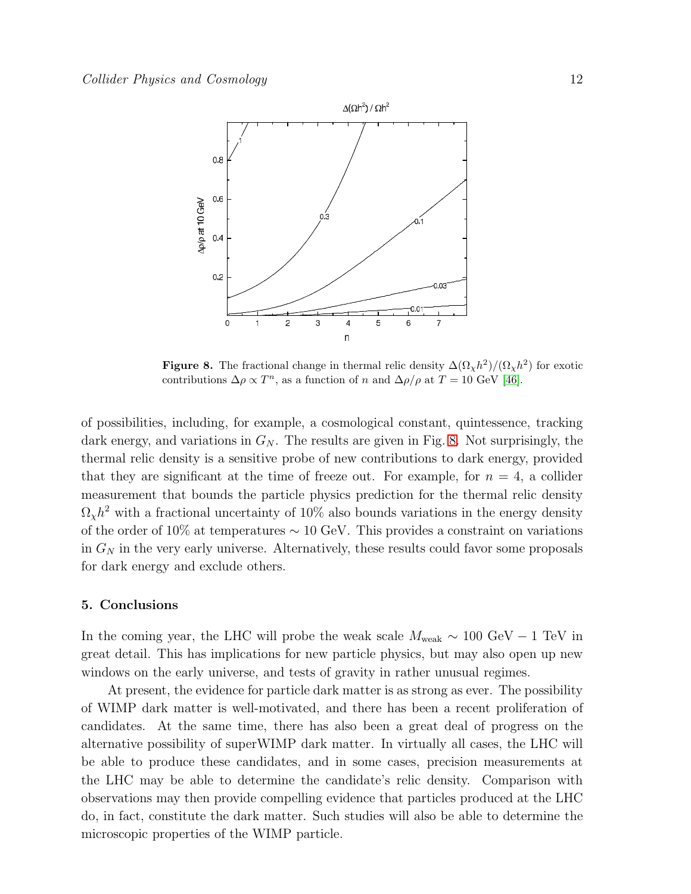

<span id="page-11-0"></span>**Figure 8.** The fractional change in thermal relic density  $\Delta(\Omega_{\chi}h^2)/(\Omega_{\chi}h^2)$  for exotic contributions  $\Delta \rho \propto T^n$ , as a function of n and  $\Delta \rho / \rho$  at  $T = 10$  GeV [\[46\]](#page-13-30).

of possibilities, including, for example, a cosmological constant, quintessence, tracking dark energy, and variations in  $G_N$ . The results are given in Fig. [8.](#page-11-0) Not surprisingly, the thermal relic density is a sensitive probe of new contributions to dark energy, provided that they are significant at the time of freeze out. For example, for  $n = 4$ , a collider measurement that bounds the particle physics prediction for the thermal relic density  $\Omega_{\chi}h^2$  with a fractional uncertainty of 10% also bounds variations in the energy density of the order of 10% at temperatures  $\sim 10$  GeV. This provides a constraint on variations in  $G_N$  in the very early universe. Alternatively, these results could favor some proposals for dark energy and exclude others.

## 5. Conclusions

In the coming year, the LHC will probe the weak scale  $M_{weak} \sim 100 \text{ GeV} - 1 \text{ TeV}$  in great detail. This has implications for new particle physics, but may also open up new windows on the early universe, and tests of gravity in rather unusual regimes.

At present, the evidence for particle dark matter is as strong as ever. The possibility of WIMP dark matter is well-motivated, and there has been a recent proliferation of candidates. At the same time, there has also been a great deal of progress on the alternative possibility of superWIMP dark matter. In virtually all cases, the LHC will be able to produce these candidates, and in some cases, precision measurements at the LHC may be able to determine the candidate's relic density. Comparison with observations may then provide compelling evidence that particles produced at the LHC do, in fact, constitute the dark matter. Such studies will also be able to determine the microscopic properties of the WIMP particle.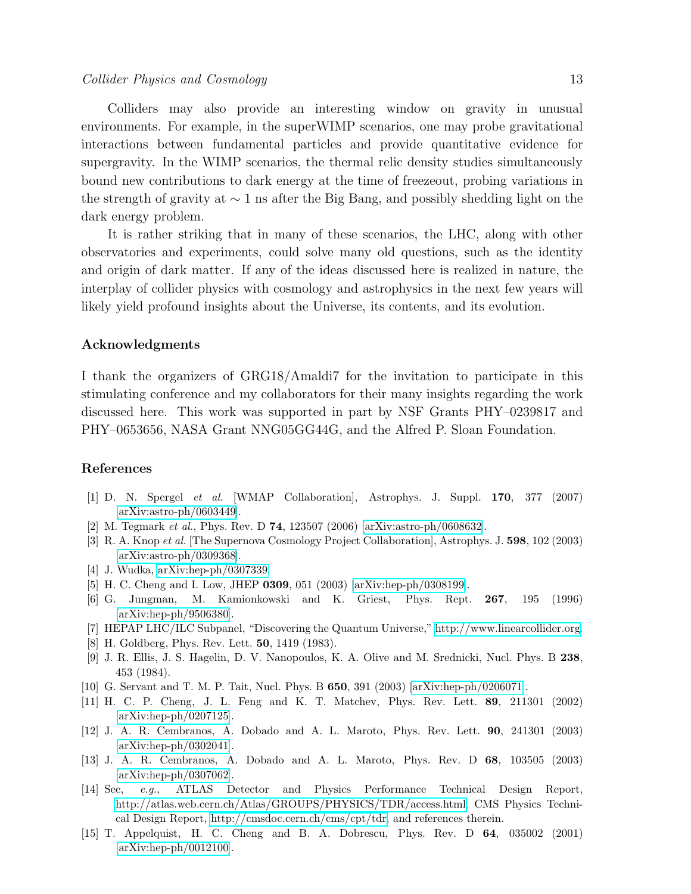Colliders may also provide an interesting window on gravity in unusual environments. For example, in the superWIMP scenarios, one may probe gravitational interactions between fundamental particles and provide quantitative evidence for supergravity. In the WIMP scenarios, the thermal relic density studies simultaneously bound new contributions to dark energy at the time of freezeout, probing variations in the strength of gravity at ∼ 1 ns after the Big Bang, and possibly shedding light on the dark energy problem.

It is rather striking that in many of these scenarios, the LHC, along with other observatories and experiments, could solve many old questions, such as the identity and origin of dark matter. If any of the ideas discussed here is realized in nature, the interplay of collider physics with cosmology and astrophysics in the next few years will likely yield profound insights about the Universe, its contents, and its evolution.

### Acknowledgments

I thank the organizers of GRG18/Amaldi7 for the invitation to participate in this stimulating conference and my collaborators for their many insights regarding the work discussed here. This work was supported in part by NSF Grants PHY–0239817 and PHY–0653656, NASA Grant NNG05GG44G, and the Alfred P. Sloan Foundation.

### <span id="page-12-0"></span>References

- <span id="page-12-1"></span>[1] D. N. Spergel et al. [WMAP Collaboration], Astrophys. J. Suppl. 170, 377 (2007) [\[arXiv:astro-ph/0603449\]](http://arxiv.org/abs/astro-ph/0603449).
- <span id="page-12-2"></span>[2] M. Tegmark et al., Phys. Rev. D 74, 123507 (2006) [\[arXiv:astro-ph/0608632\]](http://arxiv.org/abs/astro-ph/0608632).
- [3] R. A. Knop et al. [The Supernova Cosmology Project Collaboration], Astrophys. J. 598, 102 (2003) [\[arXiv:astro-ph/0309368\]](http://arxiv.org/abs/astro-ph/0309368).
- <span id="page-12-4"></span><span id="page-12-3"></span>[4] J. Wudka, [arXiv:hep-ph/0307339.](http://arxiv.org/abs/hep-ph/0307339)
- <span id="page-12-5"></span>[5] H. C. Cheng and I. Low, JHEP 0309, 051 (2003) [\[arXiv:hep-ph/0308199\]](http://arxiv.org/abs/hep-ph/0308199).
- [6] G. Jungman, M. Kamionkowski and K. Griest, Phys. Rept. 267, 195 (1996) [\[arXiv:hep-ph/9506380\]](http://arxiv.org/abs/hep-ph/9506380).
- <span id="page-12-7"></span><span id="page-12-6"></span>[7] HEPAP LHC/ILC Subpanel, "Discovering the Quantum Universe," [http://www.linearcollider.org.](http://www.linearcollider.org)
- <span id="page-12-8"></span>[8] H. Goldberg, Phys. Rev. Lett. 50, 1419 (1983).
- [9] J. R. Ellis, J. S. Hagelin, D. V. Nanopoulos, K. A. Olive and M. Srednicki, Nucl. Phys. B 238, 453 (1984).
- <span id="page-12-10"></span><span id="page-12-9"></span>[10] G. Servant and T. M. P. Tait, Nucl. Phys. B 650, 391 (2003) [\[arXiv:hep-ph/0206071\]](http://arxiv.org/abs/hep-ph/0206071).
- [11] H. C. P. Cheng, J. L. Feng and K. T. Matchev, Phys. Rev. Lett. 89, 211301 (2002) [\[arXiv:hep-ph/0207125\]](http://arxiv.org/abs/hep-ph/0207125).
- <span id="page-12-11"></span>[12] J. A. R. Cembranos, A. Dobado and A. L. Maroto, Phys. Rev. Lett. 90, 241301 (2003) [\[arXiv:hep-ph/0302041\]](http://arxiv.org/abs/hep-ph/0302041).
- <span id="page-12-12"></span>[13] J. A. R. Cembranos, A. Dobado and A. L. Maroto, Phys. Rev. D 68, 103505 (2003) [\[arXiv:hep-ph/0307062\]](http://arxiv.org/abs/hep-ph/0307062).
- <span id="page-12-13"></span>[14] See, e.g., ATLAS Detector and Physics Performance Technical Design Report, [http://atlas.web.cern.ch/Atlas/GROUPS/PHYSICS/TDR/access.html,](http://atlas.web.cern.ch/Atlas/GROUPS/PHYSICS/TDR/access.html) CMS Physics Technical Design Report, [http://cmsdoc.cern.ch/cms/cpt/tdr,](http://cmsdoc.cern.ch/cms/cpt/tdr) and references therein.
- <span id="page-12-14"></span>[15] T. Appelquist, H. C. Cheng and B. A. Dobrescu, Phys. Rev. D 64, 035002 (2001) [\[arXiv:hep-ph/0012100\]](http://arxiv.org/abs/hep-ph/0012100).